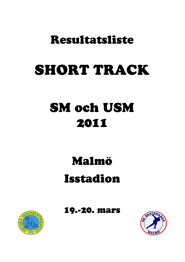# Resultatsliste

# SHORT TRACK

# 2011 SM och USM

# Malmö Isstadion

19.-20. mars



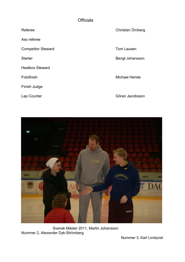#### **Officials**

Ass referee

Competitor Steward **Tom Lausen** 

**Starter** 

Heatbox Steward

Finish Judge

Lap Counter

Christian Örnberg

Bengt Johansson

Fotofinish Michael Hende

Göran Jacobsson



Svensk Mäster 2011, Martin Johansson Nummer 2, Alexander Dyk-Strömberg

Nummer 3, Karl Lindqvist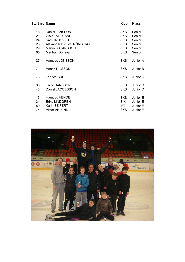| Start nr: Namn |                         | Klub       | <b>Klass</b> |  |
|----------------|-------------------------|------------|--------------|--|
| 18             | Daniel JANSSON          | <b>SKS</b> | Senior       |  |
| 21             | <b>Gisle TVERLAND</b>   | <b>SKS</b> | Senior       |  |
| 24             | Karl LINDQVIST          | <b>SKS</b> | Senior       |  |
| 26             | Alexander DYK-STRÖMBERG | <b>SKS</b> | Senior       |  |
| 29             | Martin JOHANSSON        | <b>SKS</b> | Senior       |  |
| 65             | Meghan Donevan          | <b>SKS</b> | Senior       |  |
| 25             | Hampus JÖNSSON          | <b>SKS</b> | Junior A     |  |
| 71             | <b>Henrik NILSSON</b>   | <b>SKS</b> | Junior B     |  |
| 73             | <b>Fabrice SUH</b>      | <b>SKS</b> | Junior C     |  |
| 33             | Jacob JANSSON           | <b>SKS</b> | Junior D     |  |
| 43             | Daniel JACOBSSON        | <b>SKS</b> | Junior D     |  |
| 13             | Hampus HENDE            | <b>SKS</b> | Junior E     |  |
| 34             | <b>Erika LINDGREN</b>   | <b>SIK</b> | Junior E     |  |
| 59             | <b>Karin SEIFERT</b>    | IFT.       | Junior E     |  |
| 74             | <b>Victor ÅHLUND</b>    | SKS.       | Junior E     |  |

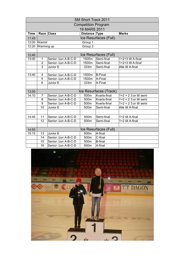| <b>SM Short Track 2011</b> |                       |                     |                            |                        |                        |  |  |  |  |  |
|----------------------------|-----------------------|---------------------|----------------------------|------------------------|------------------------|--|--|--|--|--|
|                            |                       |                     | <b>Competition Program</b> |                        |                        |  |  |  |  |  |
|                            | <b>19 MARS 2011</b>   |                     |                            |                        |                        |  |  |  |  |  |
| <b>Time</b>                |                       | Race Class          | Distance Type              |                        | <b>Marks</b>           |  |  |  |  |  |
| 11:45                      | Ice Resurfaces (Full) |                     |                            |                        |                        |  |  |  |  |  |
|                            | 12:00 Warmin          |                     | Group 1                    |                        |                        |  |  |  |  |  |
| 12:20                      | Warming up            |                     | Group 2                    |                        |                        |  |  |  |  |  |
|                            |                       |                     |                            |                        |                        |  |  |  |  |  |
| 12:40                      |                       |                     |                            | Ice Resurfaces (Full)  |                        |  |  |  |  |  |
| 13:00                      | 1                     | Senior /Jun A-B-C-D | 1500m                      | Semi-final             | 1+2+3 till A-final     |  |  |  |  |  |
|                            | $\overline{2}$        | Senior /Jun A-B-C-D | 1500m                      | Semi-final             | 1+2+3 till A-final     |  |  |  |  |  |
|                            | $\overline{3}$        | Junior E            | 333m                       | Semi-final             | Alle till A-final      |  |  |  |  |  |
|                            |                       |                     |                            |                        |                        |  |  |  |  |  |
| 13:40                      | 4                     | Senior /Jun A-B-C-D | 1500m                      | <b>B-Final</b>         |                        |  |  |  |  |  |
|                            | 5                     | Senior /Jun A-B-C-D | 1500m                      | A-Final                |                        |  |  |  |  |  |
|                            | $\overline{6}$        | Junior E            | 333m                       | A-Final                |                        |  |  |  |  |  |
|                            |                       |                     |                            |                        |                        |  |  |  |  |  |
| 13:55                      |                       |                     |                            | Ice Resurfaces (Track) |                        |  |  |  |  |  |
| 14:10                      | 7                     | Senior /Jun A-B-C-D | 500 <sub>m</sub>           | Kvarts-final           | $1+2+2$ 3:or till semi |  |  |  |  |  |
|                            | 8                     | Senior /Jun A-B-C-D | 500m                       | Kvarts-final           | $1+2+2$ 3:or till semi |  |  |  |  |  |
|                            | 9                     | Senior /Jun A-B-C-D | 500m                       | Kvarts-final           | $1+2+2$ 3:or till semi |  |  |  |  |  |
|                            | 10                    | Junior E            | 500m                       | Semi-final             | Alle till A-final      |  |  |  |  |  |
|                            |                       |                     |                            |                        |                        |  |  |  |  |  |
| 14:45                      | 11                    | Senior /Jun A-B-C-D | 500m                       | Semi-final             | 1+2 till A-final       |  |  |  |  |  |
|                            | 12                    | Senior /Jun A-B-C-D | 500m                       | Semi-final             | 1+2 till A-final       |  |  |  |  |  |
|                            |                       |                     |                            |                        |                        |  |  |  |  |  |
| 14:55                      |                       |                     |                            | Ice Resurfaces (Full)  |                        |  |  |  |  |  |
| 15:15                      | 13                    | Junior E            | 500m                       | A-final                |                        |  |  |  |  |  |
|                            | 14                    | Senior /Jun A-B-C-D | 500m                       | C-final                |                        |  |  |  |  |  |
|                            | 15                    | Senior /Jun A-B-C-D | 500m                       | <b>B-final</b>         |                        |  |  |  |  |  |
|                            | 16                    | Senior /Jun A-B-C-D | 500m                       | A-final                |                        |  |  |  |  |  |

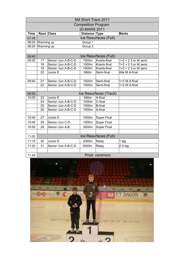| <b>SM Short Track 2011</b> |                       |                     |                    |                        |                        |  |  |  |  |  |
|----------------------------|-----------------------|---------------------|--------------------|------------------------|------------------------|--|--|--|--|--|
| <b>Competition Program</b> |                       |                     |                    |                        |                        |  |  |  |  |  |
| 20 MARS 2011               |                       |                     |                    |                        |                        |  |  |  |  |  |
| <b>Time</b>                |                       | Race Class          | Distance Type      |                        | <b>Marks</b>           |  |  |  |  |  |
| 07:45                      | Ice Resurfaces (Full) |                     |                    |                        |                        |  |  |  |  |  |
| 08:00                      | Warming up            |                     | Group 1            |                        |                        |  |  |  |  |  |
| 08:20                      | Warming up            |                     | Group <sub>2</sub> |                        |                        |  |  |  |  |  |
|                            |                       |                     |                    |                        |                        |  |  |  |  |  |
| 08:40                      | Ice Resurfaces (Full) |                     |                    |                        |                        |  |  |  |  |  |
| 09:00                      | 17                    | Senior /Jun A-B-C-D | 1000m              | Kvarts-final           | $1+2+2$ 3:or till semi |  |  |  |  |  |
|                            | 18                    | Senior /Jun A-B-C-D | 1000m              | Kvarts-final           | $1+2+2$ 3:or till semi |  |  |  |  |  |
|                            | 19                    | Senior /Jun A-B-C-D | 1000m              | Kvarts-final           | $1+2+2$ 3:or till semi |  |  |  |  |  |
|                            | 20                    | Junior E            | 666m               | Semi-final             | Alle till A-final      |  |  |  |  |  |
|                            |                       |                     |                    |                        |                        |  |  |  |  |  |
| 09:40                      | $\overline{21}$       | Senior /Jun A-B-C-D | 1000m              | Semi-final             | 1+2 till A-final       |  |  |  |  |  |
|                            | 22                    | Senior /Jun A-B-C-D | 1000m              | Semi-final             | 1+2 till A-final       |  |  |  |  |  |
|                            |                       |                     |                    |                        |                        |  |  |  |  |  |
| 09:50                      |                       |                     |                    | Ice Resurfaces (Track) |                        |  |  |  |  |  |
| 10:05                      | 23                    | Junior E            | 666m               | A-final                |                        |  |  |  |  |  |
|                            | 24                    | Senior /Jun A-B-C-D | 1000m              | $C$ -final             |                        |  |  |  |  |  |
|                            | 25                    | Senior /Jun A-B-C-D | 1000m              | B-final                |                        |  |  |  |  |  |
|                            | 26                    | Senior /Jun A-B-C-D | 1000m              | A-final                |                        |  |  |  |  |  |
|                            |                       |                     |                    |                        |                        |  |  |  |  |  |
| 10:40                      | 27                    | Junior E            | 1000m              | <b>Super Final</b>     |                        |  |  |  |  |  |
| 10:45                      | 28                    | Senior /Jun C-D     | 1500m              | <b>Super Final</b>     |                        |  |  |  |  |  |
| 10:50                      | 29                    | Senior /Jun A-B     | 3000m              | <b>Super Final</b>     |                        |  |  |  |  |  |
|                            |                       |                     |                    |                        |                        |  |  |  |  |  |
| 11:00                      |                       |                     |                    | Ice Resurfaces (Full)  |                        |  |  |  |  |  |
| 11:15                      | 30                    | Junior E            | 2000m              | Relay                  | 1 lag                  |  |  |  |  |  |
| 11:20                      | 31                    | Senior /Jun A-B-C-D | 3000m              | Relay                  | $2-3$ lag              |  |  |  |  |  |
|                            |                       |                     |                    |                        |                        |  |  |  |  |  |
| Drizo coromoni<br>44.4E    |                       |                     |                    |                        |                        |  |  |  |  |  |

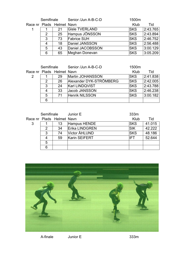|  | Semifinale |                           | Senior /Jun A-B-C-D   | 1500m      |          |
|--|------------|---------------------------|-----------------------|------------|----------|
|  |            | Race nr Plads Helmet Navn |                       | Klub       | Tid      |
|  |            | 21                        | <b>Gisle TVERLAND</b> | <b>SKS</b> | 2:43.765 |
|  | 2          | 25                        | Hampus JÖNSSON        | <b>SKS</b> | 2:43.894 |
|  | 3          | 73                        | <b>Fabrice SUH</b>    | <b>SKS</b> | 2:46.752 |
|  | 4          | 18                        | Daniel JANSSON        | <b>SKS</b> | 2:56.488 |
|  | 5          | 43                        | Daniel JACOBSSON      | <b>SKS</b> | 3:00.129 |
|  | 6          | 65                        | Meghan Donevan        | <b>SKS</b> | 3:05.209 |

| Semifinale |   |                           | Senior /Jun A-B-C-D     | 1500m      |          |
|------------|---|---------------------------|-------------------------|------------|----------|
|            |   | Race nr Plads Helmet Navn |                         | Klub       | Tid      |
| 2          |   | 29                        | Martin JOHANSSON        | <b>SKS</b> | 2:41.838 |
|            | 2 | 26                        | Alexander DYK-STRÖMBERG | <b>SKS</b> | 2:42.005 |
|            | 3 | 24                        | <b>Karl LINDQVIST</b>   | <b>SKS</b> | 2:43.788 |
|            | 4 | 33                        | Jacob JANSSON           | <b>SKS</b> | 2:46.238 |
|            | 5 | 71                        | <b>Henrik NILSSON</b>   | <b>SKS</b> | 3:00.182 |
|            | 6 |                           |                         |            |          |

|   | Semifinale |                           | Junior E              | 333m       |        |
|---|------------|---------------------------|-----------------------|------------|--------|
|   |            | Race nr Plads Helmet Navn |                       | Klub       | Tid    |
| 3 |            | 13                        | Hampus HENDE          | <b>SKS</b> | 41.015 |
|   | 2          | 34                        | <b>Erika LINDGREN</b> | <b>SIK</b> | 42.222 |
|   | 3          | 74                        | Victor ÅHLUND         | <b>SKS</b> | 48.186 |
|   |            | 59                        | Karin SEIFERT         | IFT        | 52.644 |
|   | 5          |                           |                       |            |        |
|   | 6          |                           |                       |            |        |

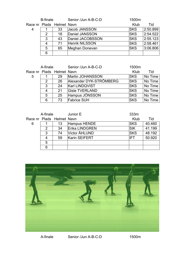| <b>B-finale</b> |   |                           | Senior /Jun A-B-C-D   | 1500m      |          |
|-----------------|---|---------------------------|-----------------------|------------|----------|
|                 |   | Race nr Plads Helmet Navn |                       | Klub       | Tid      |
| 4               |   | 33                        | Jacob JANSSON         | <b>SKS</b> | 2:50.899 |
|                 | 2 | 18                        | Daniel JANSSON        | <b>SKS</b> | 2.54.522 |
|                 | 3 | 43                        | Daniel JACOBSSON      | <b>SKS</b> | 2:55.123 |
|                 | 4 | 71                        | <b>Henrik NILSSON</b> | <b>SKS</b> | 2:58.461 |
|                 | 5 | 65                        | Meghan Donevan        | <b>SKS</b> | 3:06.806 |
|                 | 6 |                           |                       |            |          |

| A-finale |               |                           | Senior /Jun A-B-C-D     | 1500m      |         |
|----------|---------------|---------------------------|-------------------------|------------|---------|
|          |               | Race nr Plads Helmet Navn |                         | Klub       | Tid     |
| 5        |               | 29                        | Martin JOHANSSON        | <b>SKS</b> | No Time |
|          | $\mathcal{P}$ | 26                        | Alexander DYK-STRÖMBERG | <b>SKS</b> | No Time |
|          | 3             | 24                        | Karl LINDQVIST          | <b>SKS</b> | No Time |
|          | 4             | 21                        | <b>Gisle TVERLAND</b>   | <b>SKS</b> | No Time |
|          | 5             | 25                        | Hampus JÖNSSON          | <b>SKS</b> | No Time |
|          | 6             | 73                        | <b>Fabrice SUH</b>      | <b>SKS</b> | No Time |

|   | A-finale |                           | Junior E              | 333m       |        |
|---|----------|---------------------------|-----------------------|------------|--------|
|   |          | Race nr Plads Helmet Navn |                       | Klub       | Tid    |
| 6 |          | 13                        | Hampus HENDE          | <b>SKS</b> | 40.460 |
|   | 2        | 34                        | <b>Erika LINDGREN</b> | <b>SIK</b> | 41.199 |
|   | 3        | 74                        | Victor ÅHLUND         | <b>SKS</b> | 48.192 |
|   |          | 59                        | Karin SEIFERT         | IFT        | 50.920 |
|   | 5        |                           |                       |            |        |
|   | 6        |                           |                       |            |        |



A-finale 1500m Senior /Jun A-B-C-D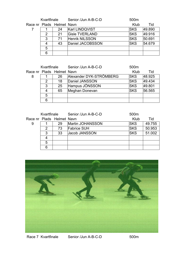|  | Kvartfinale |                           | Senior /Jun A-B-C-D   | 500 <sub>m</sub> |        |
|--|-------------|---------------------------|-----------------------|------------------|--------|
|  |             | Race nr Plads Helmet Navn |                       | Klub             | Tid    |
|  |             | 24                        | Karl LINDQVIST        | <b>ISKS</b>      | 49.890 |
|  | 2           | 21                        | <b>Gisle TVERLAND</b> | <b>SKS</b>       | 49.916 |
|  | 3           | 71                        | <b>Henrik NILSSON</b> | <b>SKS</b>       | 50.691 |
|  | 4           | 43                        | Daniel JACOBSSON      | <b>SKS</b>       | 54.679 |
|  | 5           |                           |                       |                  |        |
|  | 6           |                           |                       |                  |        |

|   | Kvartfinale |                           | Senior /Jun A-B-C-D     | 500m       |        |
|---|-------------|---------------------------|-------------------------|------------|--------|
|   |             | Race nr Plads Helmet Navn |                         | Klub       | Tid    |
| 8 |             | 26                        | Alexander DYK-STRÖMBERG | <b>SKS</b> | 48.925 |
|   | 2           | 18                        | Daniel JANSSON          | <b>SKS</b> | 49.434 |
|   | 3           | 25                        | Hampus JÖNSSON          | <b>SKS</b> | 49.801 |
|   | 4           | 65                        | Meghan Donevan          | <b>SKS</b> | 56.565 |
|   | 5           |                           |                         |            |        |
|   | 6           |                           |                         |            |        |

|   | Kvartfinale |                           | Senior /Jun A-B-C-D | 500 <sub>m</sub> |        |
|---|-------------|---------------------------|---------------------|------------------|--------|
|   |             | Race nr Plads Helmet Navn |                     | Klub             | Tid    |
| 9 |             | 29                        | Martin JOHANSSON    | <b>SKS</b>       | 49.755 |
|   | 2           | 73                        | <b>Fabrice SUH</b>  | <b>SKS</b>       | 50.953 |
|   | 3           | 33                        | Jacob JANSSON       | <b>SKS</b>       | 51.002 |
|   | 4           |                           |                     |                  |        |
|   | 5           |                           |                     |                  |        |
|   | 6           |                           |                     |                  |        |



Race 7 Kvartfinale Senior /Jun A-B-C-D 500m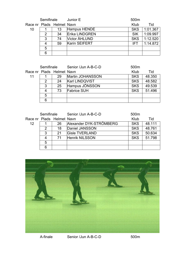|    | Semifinale |                           | Junior E              | 500m       |          |
|----|------------|---------------------------|-----------------------|------------|----------|
|    |            | Race nr Plads Helmet Navn |                       | Klub       | Tid      |
| 10 |            | 13                        | Hampus HENDE          | <b>SKS</b> | 1:01.367 |
|    | 2          | 34                        | <b>Erika LINDGREN</b> | <b>SIK</b> | 1:09.997 |
|    | 3          | 74                        | Victor ÅHLUND         | <b>SKS</b> | 1:12.520 |
|    | 4          | 59                        | Karin SEIFERT         | IFT.       | 1:14.872 |
|    | 5          |                           |                       |            |          |
|    | 6          |                           |                       |            |          |

|    | Semifinale |                           | Senior /Jun A-B-C-D   | 500 <sub>m</sub> |        |  |
|----|------------|---------------------------|-----------------------|------------------|--------|--|
|    |            | Race nr Plads Helmet Navn |                       | Klub             | Tid    |  |
| 11 |            | 29                        | Martin JOHANSSON      | <b>SKS</b>       | 48.350 |  |
|    | 2          | 24                        | <b>Karl LINDQVIST</b> | <b>SKS</b>       | 48.582 |  |
|    | 3          | 25                        | Hampus JÖNSSON        | <b>SKS</b>       | 49.539 |  |
|    | 4          | 73                        | <b>Fabrice SUH</b>    | <b>SKS</b>       | 51.496 |  |
|    | 5          |                           |                       |                  |        |  |
|    | 6          |                           |                       |                  |        |  |

|                   | Semifinale |                           | Senior /Jun A-B-C-D     | 500 <sub>m</sub> |        |
|-------------------|------------|---------------------------|-------------------------|------------------|--------|
|                   |            | Race nr Plads Helmet Navn |                         | Klub             | Tid    |
| $12 \overline{ }$ |            | 26                        | Alexander DYK-STRÖMBERG | <b>SKS</b>       | 48.111 |
|                   | 2          | 18                        | Daniel JANSSON          | <b>SKS</b>       | 48.761 |
|                   | 3          | 21                        | <b>Gisle TVERLAND</b>   | <b>SKS</b>       | 50.634 |
|                   | 4          | 71                        | <b>Henrik NILSSON</b>   | <b>SKS</b>       | 51.798 |
|                   | 5          |                           |                         |                  |        |
|                   | 6          |                           |                         |                  |        |



A-finale 500m Senior /Jun A-B-C-D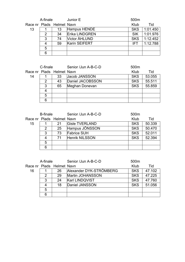|    | A-finale |                           | Junior E<br>500m      |            |          |
|----|----------|---------------------------|-----------------------|------------|----------|
|    |          | Race nr Plads Helmet Navn |                       | Klub       | Tid      |
| 13 |          | 13                        | Hampus HENDE          | <b>SKS</b> | 1:01.450 |
|    | 2        | 34                        | <b>Erika LINDGREN</b> | <b>SIK</b> | 1:01.976 |
|    | 3        | 74                        | Victor ÅHLUND         | <b>SKS</b> | 1:12.452 |
|    | 4        | 59                        | Karin SEIFERT         | IFT.       | 1:12.788 |
|    | 5        |                           |                       |            |          |
|    | 6        |                           |                       |            |          |

| C-finale |               |                           | Senior /Jun A-B-C-D | 500m       |        |  |
|----------|---------------|---------------------------|---------------------|------------|--------|--|
|          |               | Race nr Plads Helmet Navn |                     | Klub       | Tid    |  |
| 14       |               | 33                        | Jacob JANSSON       | <b>SKS</b> | 53.055 |  |
|          | $\mathcal{P}$ | 43                        | Daniel JACOBSSON    | <b>SKS</b> | 55.511 |  |
|          | 3             | 65                        | Meghan Donevan      | <b>SKS</b> | 55.859 |  |
|          | 4             |                           |                     |            |        |  |
|          | 5             |                           |                     |            |        |  |
|          | 6             |                           |                     |            |        |  |

| <b>B-finale</b> |   |                           | Senior /Jun A-B-C-D   | 500 <sub>m</sub> |        |
|-----------------|---|---------------------------|-----------------------|------------------|--------|
|                 |   | Race nr Plads Helmet Navn |                       | Klub             | Tid    |
| 15              |   | 21                        | <b>Gisle TVERLAND</b> | <b>SKS</b>       | 50.339 |
|                 | 2 | 25                        | Hampus JÖNSSON        | <b>SKS</b>       | 50.470 |
|                 | 3 | 73                        | <b>Fabrice SUH</b>    | <b>SKS</b>       | 52.011 |
|                 | 4 | 71                        | <b>Henrik NILSSON</b> | <b>SKS</b>       | 52.394 |
|                 | 5 |                           |                       |                  |        |
|                 | 6 |                           |                       |                  |        |

| A-finale |   |                           | Senior /Jun A-B-C-D     | 500 <sub>m</sub> |        |
|----------|---|---------------------------|-------------------------|------------------|--------|
|          |   | Race nr Plads Helmet Navn |                         | Klub             | Tid    |
| 16       |   | 26                        | Alexander DYK-STRÖMBERG | <b>SKS</b>       | 47.102 |
|          | 2 | 29                        | Martin JOHANSSON        | <b>SKS</b>       | 47.225 |
|          | 3 | 24                        | <b>Karl LINDQVIST</b>   | <b>SKS</b>       | 47.760 |
|          | 4 | 18                        | Daniel JANSSON          | <b>SKS</b>       | 51.056 |
|          | 5 |                           |                         |                  |        |
|          | 6 |                           |                         |                  |        |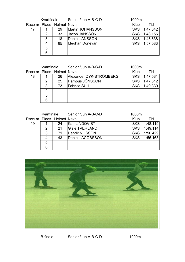|    | Kvartfinale |                           | Senior /Jun A-B-C-D | 1000m      |          |
|----|-------------|---------------------------|---------------------|------------|----------|
|    |             | Race nr Plads Helmet Navn |                     | Klub       | Tid      |
| 17 |             | 29                        | Martin JOHANSSON    | <b>SKS</b> | 1.47.642 |
|    | 2           | 33                        | Jacob JANSSON       | <b>SKS</b> | 1.48.156 |
|    | 3           | 18                        | Daniel JANSSON      | <b>SKS</b> | 1:48.838 |
|    | 4           | 65                        | Meghan Donevan      | <b>SKS</b> | 1:57.033 |
|    | 5           |                           |                     |            |          |
|    | 6           |                           |                     |            |          |

|    | Kvartfinale |                           | Senior /Jun A-B-C-D     | 1000m      |              |
|----|-------------|---------------------------|-------------------------|------------|--------------|
|    |             | Race nr Plads Helmet Navn |                         | Klub       | Tid          |
| 18 |             | 26                        | Alexander DYK-STRÖMBERG |            | SKS 1:47.531 |
|    | 2           | 25                        | Hampus JÖNSSON          | <b>SKS</b> | 1.47.812     |
|    | 3           | 73                        | <b>Fabrice SUH</b>      | <b>SKS</b> | 1:49.339     |
|    |             |                           |                         |            |              |
|    | 5           |                           |                         |            |              |
|    | 6           |                           |                         |            |              |

|    | Kvartfinale |                           | Senior /Jun A-B-C-D   | 1000m      |          |
|----|-------------|---------------------------|-----------------------|------------|----------|
|    |             | Race nr Plads Helmet Navn |                       | Klub       | Tid      |
| 19 |             | 24                        | Karl LINDQVIST        | <b>SKS</b> | 1:48.119 |
|    | 2           | 21                        | <b>Gisle TVERLAND</b> | <b>SKS</b> | 1.49.114 |
|    | 3           | 71                        | <b>Henrik NILSSON</b> | <b>SKS</b> | 1:50.429 |
|    | 4           | 43                        | Daniel JACOBSSON      | <b>SKS</b> | 1:55.163 |
|    | 5           |                           |                       |            |          |
|    | 6           |                           |                       |            |          |



B-finale 1000m Senior /Jun A-B-C-D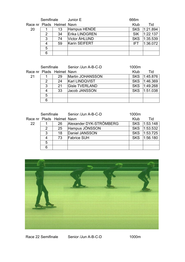|    | Semifinale |                           | Junior E              | 666m       |          |
|----|------------|---------------------------|-----------------------|------------|----------|
|    |            | Race nr Plads Helmet Navn |                       | Klub       | Tid      |
| 20 |            | 13                        | Hampus HENDE          | <b>SKS</b> | 1:21.894 |
|    | 2          | 34                        | <b>Erika LINDGREN</b> | <b>SIK</b> | 1:22.137 |
|    | 3          | 74                        | Victor ÅHLUND         | <b>SKS</b> | 1:35.539 |
|    |            | 59                        | Karin SEIFERT         | IFT.       | 1:36.072 |
|    | 5          |                           |                       |            |          |
|    | 6          |                           |                       |            |          |

| Semifinale |         |                           | Senior /Jun A-B-C-D   | 1000m      |          |  |  |
|------------|---------|---------------------------|-----------------------|------------|----------|--|--|
|            |         | Race nr Plads Helmet Navn |                       | Klub       | Tid      |  |  |
| 21         |         | 29                        | Martin JOHANSSON      | <b>SKS</b> | 1.45.876 |  |  |
| 24<br>2    |         |                           | Karl LINDQVIST        | <b>SKS</b> | 1:46.369 |  |  |
|            | 3       | 21                        | <b>Gisle TVERLAND</b> | <b>SKS</b> | 1:49.268 |  |  |
|            | 33<br>4 |                           | Jacob JANSSON         | <b>SKS</b> | 1:51.038 |  |  |
|            | 5       |                           |                       |            |          |  |  |
|            | 6       |                           |                       |            |          |  |  |

|         | Semifinale                |    | Senior /Jun A-B-C-D     | 1000m      |          |
|---------|---------------------------|----|-------------------------|------------|----------|
|         | Race nr Plads Helmet Navn |    |                         | Klub       | Tid      |
| 22      |                           | 26 | Alexander DYK-STRÖMBERG | <b>SKS</b> | 1:53.148 |
|         | 2                         | 25 | Hampus JÖNSSON          | <b>SKS</b> | 1:53.532 |
| 3<br>18 |                           |    | Daniel JANSSON          | <b>SKS</b> | 1:53.725 |
|         | 73<br>4                   |    | <b>Fabrice SUH</b>      | <b>SKS</b> | 1:56.180 |
|         | 5                         |    |                         |            |          |
|         | 6                         |    |                         |            |          |



Race 22 Semifinale Senior /Jun A-B-C-D 1000m Senior /Jun A-B-C-D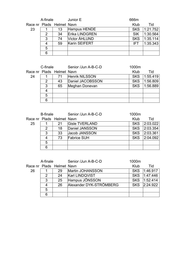|                           | A-finale                           |    | Junior E              | 666m       |          |
|---------------------------|------------------------------------|----|-----------------------|------------|----------|
| Race nr Plads Helmet Navn |                                    |    |                       | Klub       | Tid      |
| 23                        |                                    | 13 | Hampus HENDE          | <b>SKS</b> | 1:21.752 |
|                           | 34<br>2<br>3<br>74<br>59<br>4<br>5 |    | <b>Erika LINDGREN</b> | <b>SIK</b> | 1:30.564 |
|                           |                                    |    | Victor ÅHLUND         | <b>SKS</b> | 1:35.114 |
|                           |                                    |    | Karin SEIFERT         | IFT.       | 1:35.343 |
|                           |                                    |    |                       |            |          |
|                           | 6                                  |    |                       |            |          |

| C-finale                  |              |    | Senior /Jun A-B-C-D | 1000m      |          |
|---------------------------|--------------|----|---------------------|------------|----------|
| Race nr Plads Helmet Navn |              |    |                     | Klub       | Tid      |
| 24                        |              | 71 | Henrik NILSSON      | <b>SKS</b> | 1:55.419 |
|                           | 2            | 43 | Daniel JACOBSSON    | <b>SKS</b> | 1:56.809 |
|                           | 65<br>3<br>5 |    | Meghan Donevan      | <b>SKS</b> | 1:56.889 |
|                           |              |    |                     |            |          |
|                           |              |    |                     |            |          |
|                           | 6            |    |                     |            |          |

| <b>B-finale</b>    |         |                           | Senior /Jun A-B-C-D   | 1000m      |          |
|--------------------|---------|---------------------------|-----------------------|------------|----------|
|                    |         | Race nr Plads Helmet Navn |                       | Klub       | Tid      |
| 25                 |         | -21                       | <b>Gisle TVERLAND</b> | <b>SKS</b> | 2:03.022 |
| 18<br>2<br>33<br>3 |         |                           | Daniel JANSSON        | <b>SKS</b> | 2:03.354 |
|                    |         |                           | Jacob JANSSON         | <b>SKS</b> | 2:03.361 |
|                    | 73<br>4 |                           | <b>Fabrice SUH</b>    | <b>SKS</b> | 2:04.092 |
|                    | 5       |                           |                       |            |          |
|                    | 6       |                           |                       |            |          |

| A-finale |                    |                           | Senior /Jun A-B-C-D     | 1000m      |              |
|----------|--------------------|---------------------------|-------------------------|------------|--------------|
|          |                    | Race nr Plads Helmet Navn |                         | Klub       | Tid          |
| 26       |                    | 29                        | Martin JOHANSSON        | <b>SKS</b> | 1:46.917     |
| 24<br>2  |                    |                           | Karl LINDQVIST          |            | SKS 1:47.446 |
|          | 25<br>3<br>26<br>4 |                           | Hampus JÖNSSON          | <b>SKS</b> | 1.52.414     |
|          |                    |                           | Alexander DYK-STRÖMBERG |            | SKS 2:24.922 |
|          | 5                  |                           |                         |            |              |
|          | 6                  |                           |                         |            |              |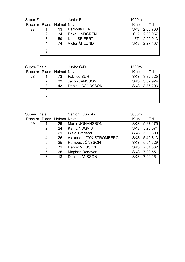|                           | Super-Finale                               |    | Junior E              | 1000m      |              |  |
|---------------------------|--------------------------------------------|----|-----------------------|------------|--------------|--|
| Race nr Plads Helmet Navn |                                            |    |                       | Klub       | Tid          |  |
| 27                        |                                            | 13 | Hampus HENDE          |            | SKS 2:06.760 |  |
|                           | $\overline{2}$<br>34<br>3<br>59<br>74<br>4 |    | <b>Erika LINDGREN</b> | <b>SIK</b> | 2:06.957     |  |
|                           |                                            |    | Karin SEIFERT         | IFT.       | 2:22.013     |  |
|                           |                                            |    | Victor ÅHLUND         |            | SKS 2:27.407 |  |
|                           | 5                                          |    |                       |            |              |  |
|                           | 6                                          |    |                       |            |              |  |

|    | Super-Finale              |    | Junior C-D         | 1500m      |              |
|----|---------------------------|----|--------------------|------------|--------------|
|    | Race nr Plads Helmet Navn |    |                    | Klub       | Tid          |
| 28 |                           | 73 | <b>Fabrice SUH</b> |            | SKS 3:32.625 |
|    | 33<br>2<br>3<br>43        |    | Jacob JANSSON      |            | SKS 3:32.924 |
|    |                           |    | Daniel JACOBSSON   | <b>SKS</b> | 3:36.293     |
|    |                           |    |                    |            |              |
|    | 5                         |    |                    |            |              |
|    | 6                         |    |                    |            |              |

| Super-Finale              |   |    | Senior + Jun. A-B       | 3000m      |          |  |
|---------------------------|---|----|-------------------------|------------|----------|--|
| Race nr Plads Helmet Navn |   |    |                         | Klub       | Tid      |  |
| 29                        |   | 29 | Martin JOHANSSON        | <b>SKS</b> | 5.27.175 |  |
|                           | 2 | 24 | Karl LINDQVIST          | <b>SKS</b> | 5:28.071 |  |
|                           | 3 | 21 | <b>Gisle Tverland</b>   | <b>SKS</b> | 5:30.690 |  |
|                           | 4 | 26 | Alexander DYK-STRÖMBERG | <b>SKS</b> | 5:40.813 |  |
|                           | 5 | 25 | Hampus JÖNSSON          | <b>SKS</b> | 5:54.629 |  |
|                           | 6 | 71 | Henrik NILSSON          | <b>SKS</b> | 7:01.062 |  |
|                           | 7 | 65 | Meghan Donevan          | <b>SKS</b> | 7:02.551 |  |
|                           | 8 | 18 | Daniel JANSSON          | <b>SKS</b> | 7:22.251 |  |
|                           |   |    |                         |            |          |  |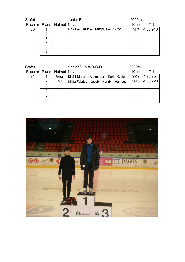| <b>Stafet</b>             |    |  | Junior E                        | 2000m |          |
|---------------------------|----|--|---------------------------------|-------|----------|
| Race nr Plads Helmet Navn |    |  |                                 | Klub  | Tid      |
| 30                        |    |  | Erika – Karin – Hampus – Viktor | MIX   | 4:35.940 |
|                           |    |  |                                 |       |          |
|                           | 3  |  |                                 |       |          |
|                           |    |  |                                 |       |          |
|                           | 5  |  |                                 |       |          |
|                           | ิค |  |                                 |       |          |

| <b>Stafet</b>             |   |      | Senior /Jun A-B-C-D                    | 3000m      |          |
|---------------------------|---|------|----------------------------------------|------------|----------|
| Race nr Plads Helmet Navn |   |      |                                        | Klub       | Tid      |
| 31                        |   | Grön | SKS1 Martin - Alexander - Karl - Gisle | <b>SKS</b> | 4.39.854 |
|                           | 2 | Vit  | SKS2 Fabrice - Jacob - Henrik - Hampus | <b>SKS</b> | 4:55.228 |
|                           | 3 |      |                                        |            |          |
|                           | 4 |      |                                        |            |          |
|                           | 5 |      |                                        |            |          |
|                           | 6 |      |                                        |            |          |

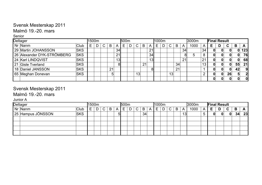### Svensk Mesterskap 2011

#### Malmö 19.-20. mars

Senior

| Deltager                   |             |    | l1500m |              | 500m |    |   |  |    | l1000m |                 |    |    | 3000m |    | <b>Final Result</b> |      |                 |    |   |              |    |     |
|----------------------------|-------------|----|--------|--------------|------|----|---|--|----|--------|-----------------|----|----|-------|----|---------------------|------|-----------------|----|---|--------------|----|-----|
| Nr Nanm                    | <b>Club</b> | E. | D      | $\mathbf{C}$ | B    | Α  | Е |  | C  | B      |                 | E. | D. | C     | B  | A                   | 1000 | A               | Е  | D | C            | B  | A   |
| 29 Martin JOHANSSON        | <b>SKS</b>  |    |        |              |      | 34 |   |  |    |        | 21              |    |    |       |    | 34                  |      | 34              | 0  |   |              |    | 123 |
| 26 Alexander DYK-STRÖMBERG | <b>SKS</b>  |    |        |              |      | 21 |   |  |    |        | 34              |    |    |       |    | 8I                  | 5    |                 |    |   |              |    | 76  |
| 24 Karl LINDQVIST          | <b>SKS</b>  |    |        |              |      | 13 |   |  |    |        | 13 <sub>l</sub> |    |    |       |    | 21                  |      | 2 <sup>1</sup>  | 0  |   |              |    | 68  |
| 21 Gisle Tverland          | <b>SKS</b>  |    |        |              |      |    |   |  |    | 21     |                 |    |    |       | 34 |                     |      | 13 <sub>1</sub> | 0  |   | $\mathbf{0}$ | 55 | 21  |
| 18 Daniel JANSSON          | <b>SKS</b>  |    |        |              | 21   |    |   |  |    |        | 81              |    |    |       | 21 |                     |      |                 |    |   | $\Omega$     | 42 |     |
| 65 Meghan Donevan          | <b>SKS</b>  |    |        |              | 5    |    |   |  | 13 |        |                 |    |    | 13    |    |                     |      |                 | 01 |   | 26           | 51 |     |
|                            |             |    |        |              |      |    |   |  |    |        |                 |    |    |       |    |                     |      |                 | 0  |   |              |    |     |

## Svensk Mesterskap 2011

Malmö 19.-20. mars

Junior A

| Deltager |                   |            |   | 1500m |              |   |   | 500m |   |        |    |   | 1000m |   |    |   |    | 3000m |   | <b>Final Result</b> |   |   |    |    |  |
|----------|-------------------|------------|---|-------|--------------|---|---|------|---|--------|----|---|-------|---|----|---|----|-------|---|---------------------|---|---|----|----|--|
|          | Nr Nanm           | Club       | ⊢ | D     | $\mathsf{C}$ | B | A | Е    | ∍ | ⌒<br>U | B  | A | E     | D | C. | B | A  | 1000  | A | Е                   | D | C | B  | A  |  |
|          | 25 Hampus JÖNSSON | <b>SKS</b> |   |       |              |   | ы |      |   |        | 34 |   |       |   |    |   | 13 |       |   | 0                   |   | 0 | 34 | 23 |  |
|          |                   |            |   |       |              |   |   |      |   |        |    |   |       |   |    |   |    |       |   |                     |   |   |    |    |  |
|          |                   |            |   |       |              |   |   |      |   |        |    |   |       |   |    |   |    |       |   |                     |   |   |    |    |  |
|          |                   |            |   |       |              |   |   |      |   |        |    |   |       |   |    |   |    |       |   |                     |   |   |    |    |  |
|          |                   |            |   |       |              |   |   |      |   |        |    |   |       |   |    |   |    |       |   |                     |   |   |    |    |  |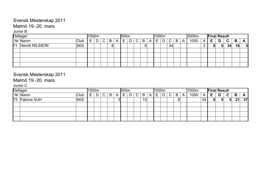### Svensk Mesterskap 2011

### Malmö 19.-20. mars

#### Junior B

| Deltager          |            | 1500m |   |              |   |   | 500m |   |             |   |   |   | 1000m |              |   |   | 3000m | <b>Final Result</b> |   |   |    |    |           |
|-------------------|------------|-------|---|--------------|---|---|------|---|-------------|---|---|---|-------|--------------|---|---|-------|---------------------|---|---|----|----|-----------|
| Nr Nanm           | 'Club      | Е     | D | $\mathsf{C}$ | B | A | E    | D | $\sim$<br>◡ | B | Α | ⊢ | D     | $\mathsf{C}$ | B | A | 1000  | A                   |   | D | C. | B  | A         |
| 71 Henrik NILSSON | <b>SKS</b> |       |   |              | 8 |   |      |   |             | 8 |   |   |       | 34           |   |   |       |                     | 0 | 0 | 34 | 16 | $\vert$ 3 |
|                   |            |       |   |              |   |   |      |   |             |   |   |   |       |              |   |   |       |                     |   |   |    |    |           |
|                   |            |       |   |              |   |   |      |   |             |   |   |   |       |              |   |   |       |                     |   |   |    |    |           |
|                   |            |       |   |              |   |   |      |   |             |   |   |   |       |              |   |   |       |                     |   |   |    |    |           |
|                   |            |       |   |              |   |   |      |   |             |   |   |   |       |              |   |   |       |                     |   |   |    |    |           |

### Svensk Mesterskap 2011

#### Malmö 19.-20. mars

Junior C

| Deltager |                |                   |        | 1500m |    |   |          |   | 1000m<br>500m |        |    |  |        |   |   |   |   | 1500m | <b>Final Result</b> |   |   |          |    |              |
|----------|----------------|-------------------|--------|-------|----|---|----------|---|---------------|--------|----|--|--------|---|---|---|---|-------|---------------------|---|---|----------|----|--------------|
|          | Nr Namn        | <sup>I</sup> Club | -<br>⊢ | D     | C. | B | A        | F | D             | $\sim$ | B  |  | Ī<br>⊢ | n | C | B | A | 1000  | $\mathsf{A}$        | Е | D | C        | B  | $\mathbf{A}$ |
|          | 73 Fabrice SUH | <b>SKS</b>        |        |       |    |   | ור<br>ات |   |               |        | 13 |  |        |   |   | 8 |   |       | ็ 34                | 0 |   | $\Omega$ | 21 | 37           |
|          |                |                   |        |       |    |   |          |   |               |        |    |  |        |   |   |   |   |       |                     |   |   |          |    |              |
|          |                |                   |        |       |    |   |          |   |               |        |    |  |        |   |   |   |   |       |                     |   |   |          |    |              |
|          |                |                   |        |       |    |   |          |   |               |        |    |  |        |   |   |   |   |       |                     |   |   |          |    |              |
|          |                |                   |        |       |    |   |          |   |               |        |    |  |        |   |   |   |   |       |                     |   |   |          |    |              |